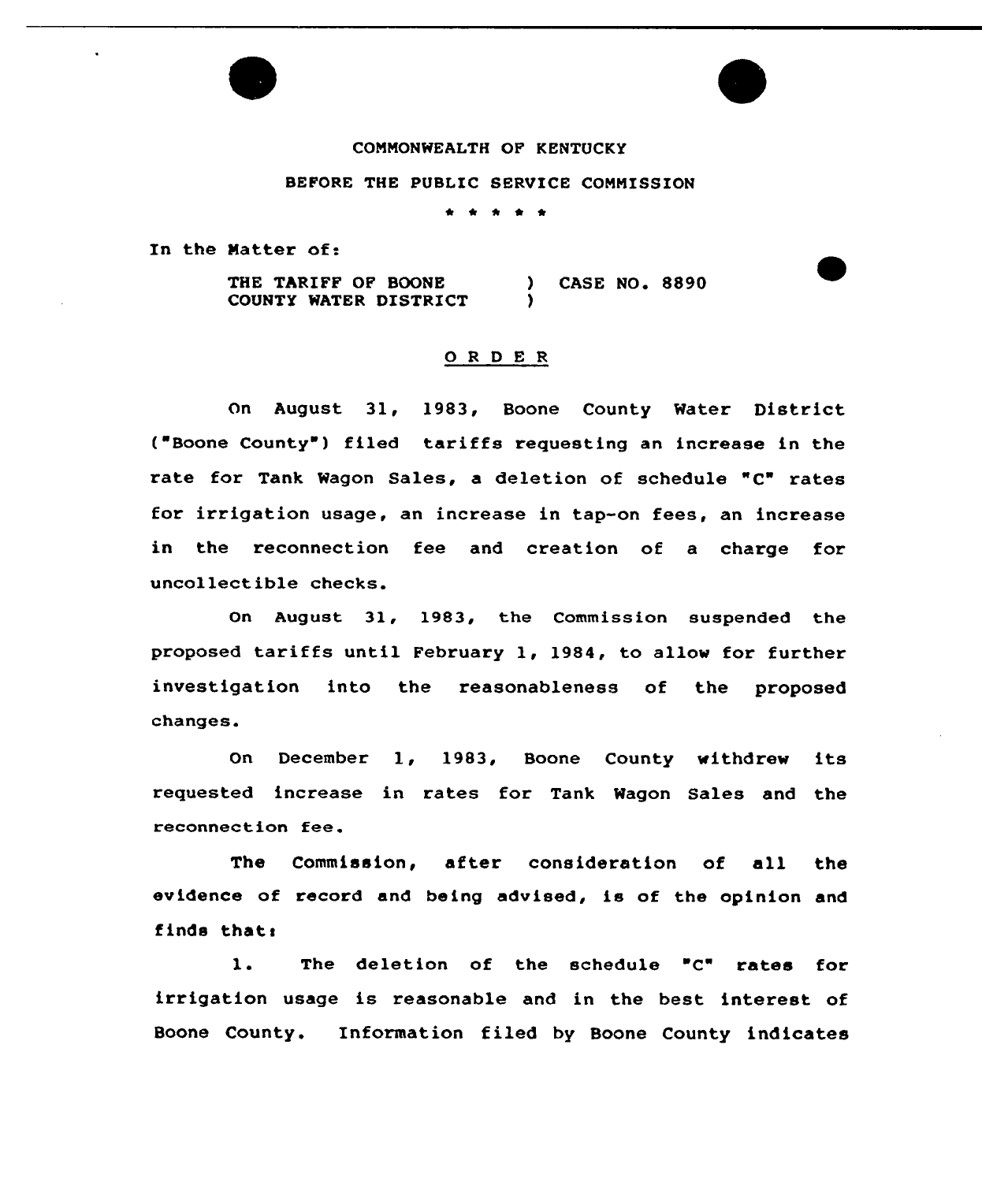## COMMONWEALTH OF KENTUCKY

## BEFORE THE PUBLIC SERVICE COMMISSION

\* \* \*

In the Natter of:

THE TARIFF OF BOONE COUNTY WATER DISTRICT ) CASE NO. 8890 )

## 0 <sup>R</sup> <sup>D</sup> <sup>E</sup> <sup>R</sup>

On August 31, 1983, Boone County Water District ( Boone County ) filed tariffs requesting an increase in the rate for Tank Wagon Sales, a deletion of schedule "C" rates for irrigation usage, an increase in tap-on fees, an increase in the reconnection fee and creation of a charge for uncollectible checks.

On August 31, 1983, the Commission suspended the proposed tariffs until February 1, 1984, to allow for further investigation into the reasonableness of the proposed changes.

 $On$ December 1, 1983, Boone County withdrew its requested increase in rates for Tank Wagon Sales and the reconnection fee.

The Commission, after consideration of all the evidence of record and being advised, is of the opinion and finds thats

1. The deletion of the schedule "C" rates for irrigation usage is reasonable and in the best interest of Boone County. Information filed by Boone County indicates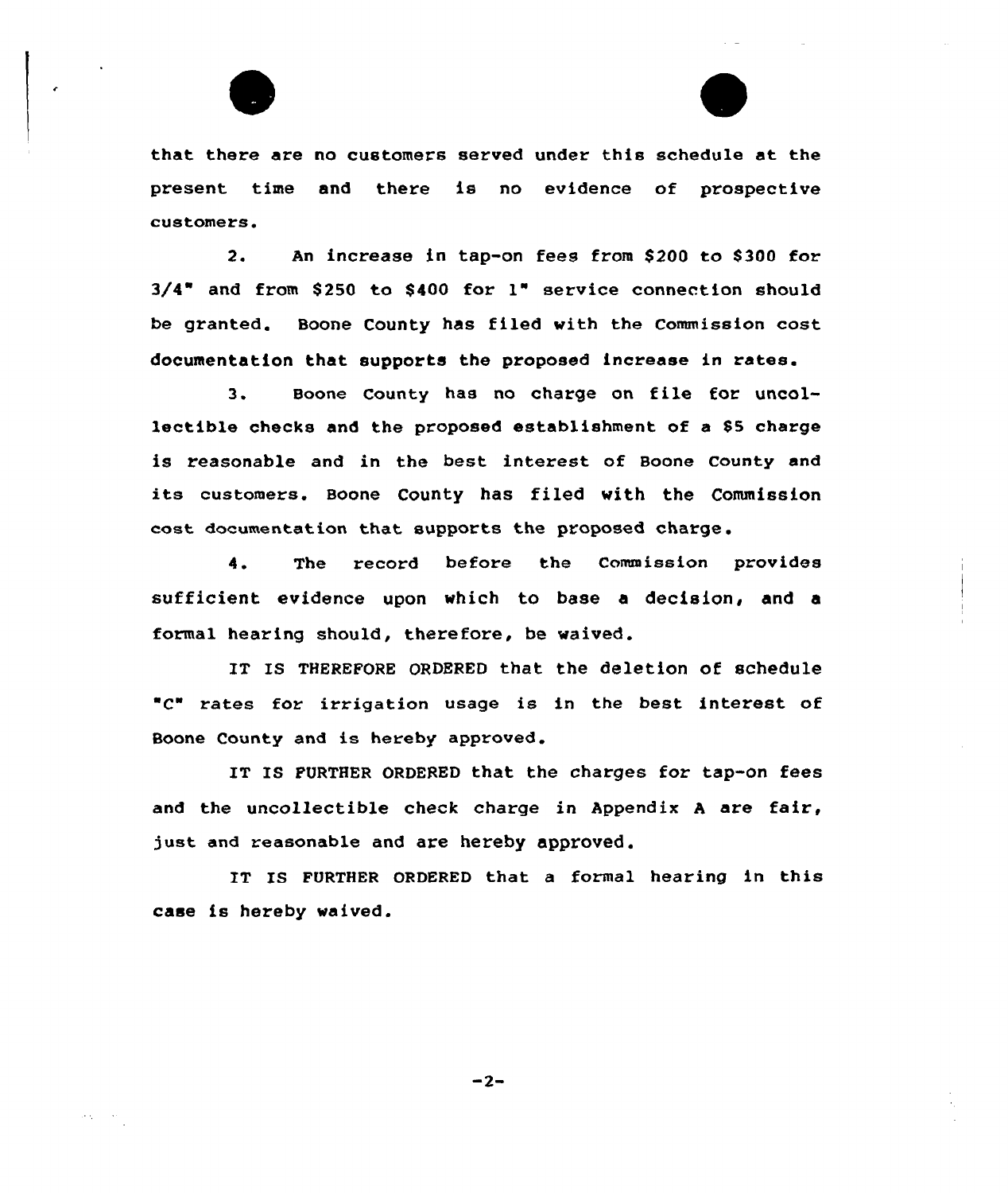

 $\alpha_{\rm A} = 0.05$ 



that there are no customers served under this schedule at the present time and there is no evidence of prospective customers.

2. An increase in tap-on fees from \$200 to 8300 for  $3/4$ " and from \$250 to \$400 for  $1$ " service connection should be granted. Boone County has filed with the Commission cost documentation that supports the proposed increase in rates.

3. Boone County has no charge on file for uncollectible checks and the proposed establishment of a SS charge is reasonable and in the best interest of Boone county and its customers. Boone County has filed with the Commission cost documentation that supports the proposed charge.

4. The record before the Commission provides sufficient evidence upon which to base a decision, and a formal hearing should, therefore, be waived.

IT IS THEREFORE ORDERED that the deletion of schedule "C" rates for irxigation usage is in the best interest of Boone County and is hereby approved,

IT IS FURTHER ORDERED that the charges for tap-on fees and the uncollectible check charge in Appendix <sup>A</sup> are fair, just and reasonable and are hereby approved.

IT IS FURTHER ORDERED that a formal hearing in this case is hereby waived.

 $-2-$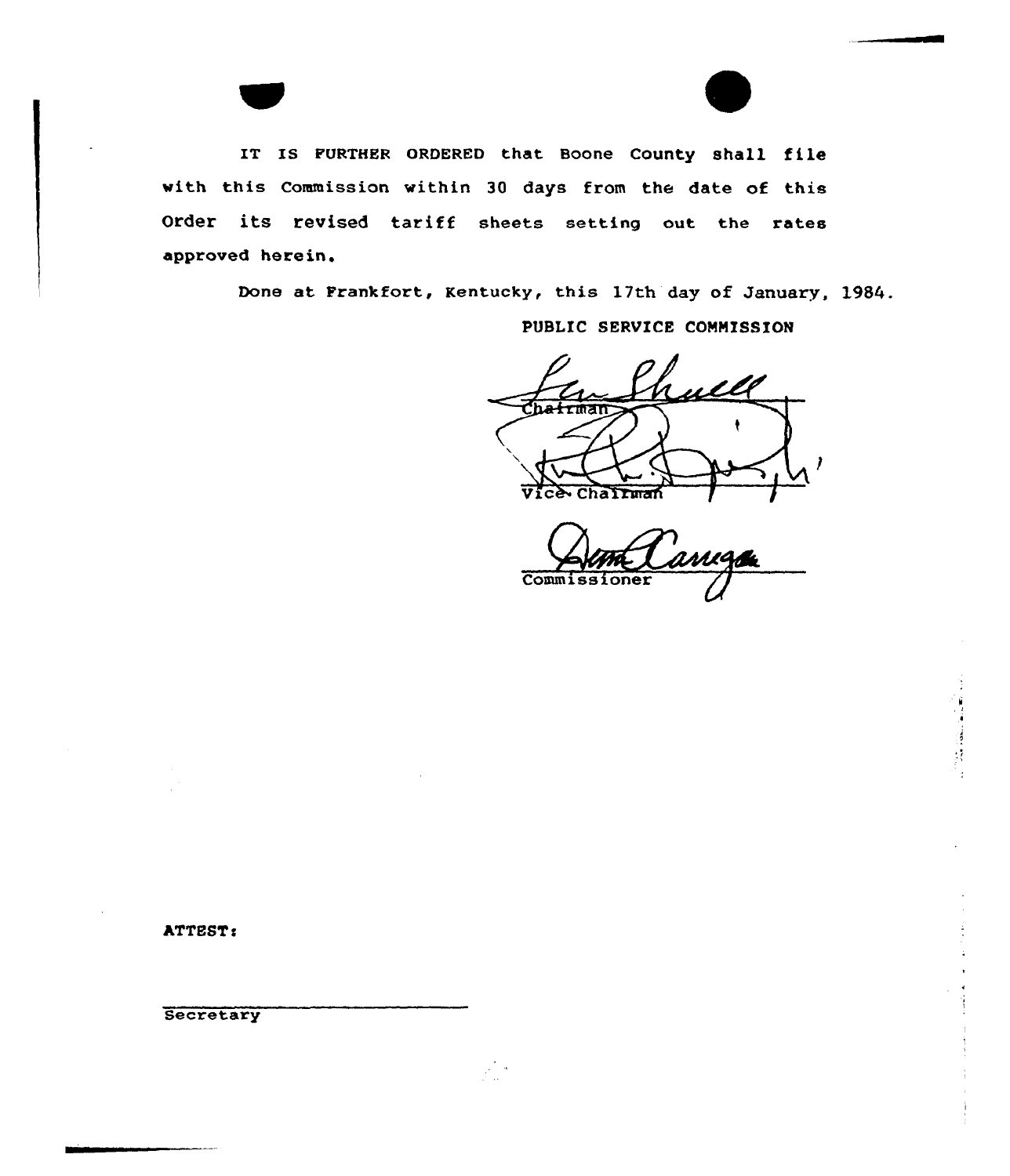IT IS FURTHER ORDERED that Boone County shall file with this Commission within 30 days from the date of this Order its revised tariff sheets setting out the rates approved herein.

Done at Frankfort, Kentucky, this 17th day of January, 1984.

PUBLIC SERVICE COMMISSION

rull rman hallman

Commissioner

ATTEST:

Secretary